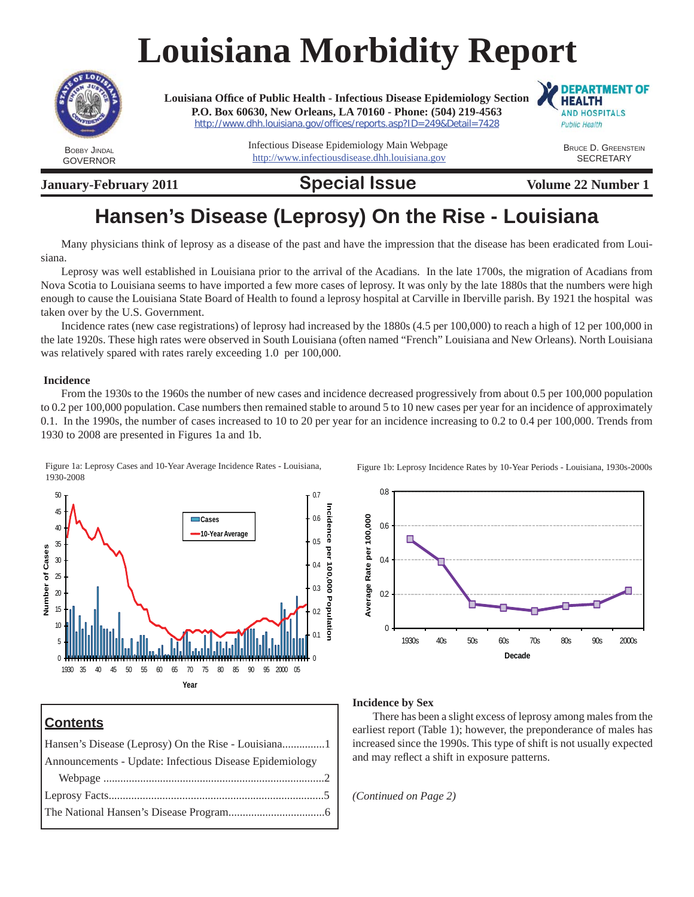# **Louisiana Morbidity Report**



GOVERNOR

**Louisiana Offi ce of Public Health - Infectious Disease Epidemiology Section P.O. Box 60630, New Orleans, LA 70160 - Phone: (504) 219-4563**  http://www.dhh.louisiana.gov/offices/reports.asp?ID=249&Detail=7428

> Infectious Disease Epidemiology Main Webpage http://www.infectiousdisease.dhh.louisiana.gov

**January-February 2011 Special Issue** Volume 22 Number 1

**DEPARTMENT OF HEALTH AND HOSPITALS Public Health** 

> BRUCE D. GREENSTEIN **SECRETARY**

# **Hansen's Disease (Leprosy) On the Rise - Louisiana**

Many physicians think of leprosy as a disease of the past and have the impression that the disease has been eradicated from Louisiana.

Leprosy was well established in Louisiana prior to the arrival of the Acadians. In the late 1700s, the migration of Acadians from Nova Scotia to Louisiana seems to have imported a few more cases of leprosy. It was only by the late 1880s that the numbers were high enough to cause the Louisiana State Board of Health to found a leprosy hospital at Carville in Iberville parish. By 1921 the hospital was taken over by the U.S. Government.

Incidence rates (new case registrations) of leprosy had increased by the 1880s (4.5 per 100,000) to reach a high of 12 per 100,000 in the late 1920s. These high rates were observed in South Louisiana (often named "French" Louisiana and New Orleans). North Louisiana was relatively spared with rates rarely exceeding 1.0 per 100,000.

#### **Incidence**

From the 1930s to the 1960s the number of new cases and incidence decreased progressively from about 0.5 per 100,000 population to 0.2 per 100,000 population. Case numbers then remained stable to around 5 to 10 new cases per year for an incidence of approximately 0.1. In the 1990s, the number of cases increased to 10 to 20 per year for an incidence increasing to 0.2 to 0.4 per 100,000. Trends from 1930 to 2008 are presented in Figures 1a and 1b.

Figure 1a: Leprosy Cases and 10-Year Average Incidence Rates - Louisiana, 1930-2008



### **Contents**

Hansen's Disease (Leprosy) On the Rise - Louisiana...............1 Announcements - Update: Infectious Disease Epidemiology Webpage ..............................................................................2 Leprosy Facts............................................................................5 The National Hansen's Disease Program..................................6 Figure 1b: Leprosy Incidence Rates by 10-Year Periods - Louisiana, 1930s-2000s



### **Incidence by Sex**

There has been a slight excess of leprosy among males from the earliest report (Table 1); however, the preponderance of males has increased since the 1990s. This type of shift is not usually expected and may reflect a shift in exposure patterns.

*(Continued on Page 2)*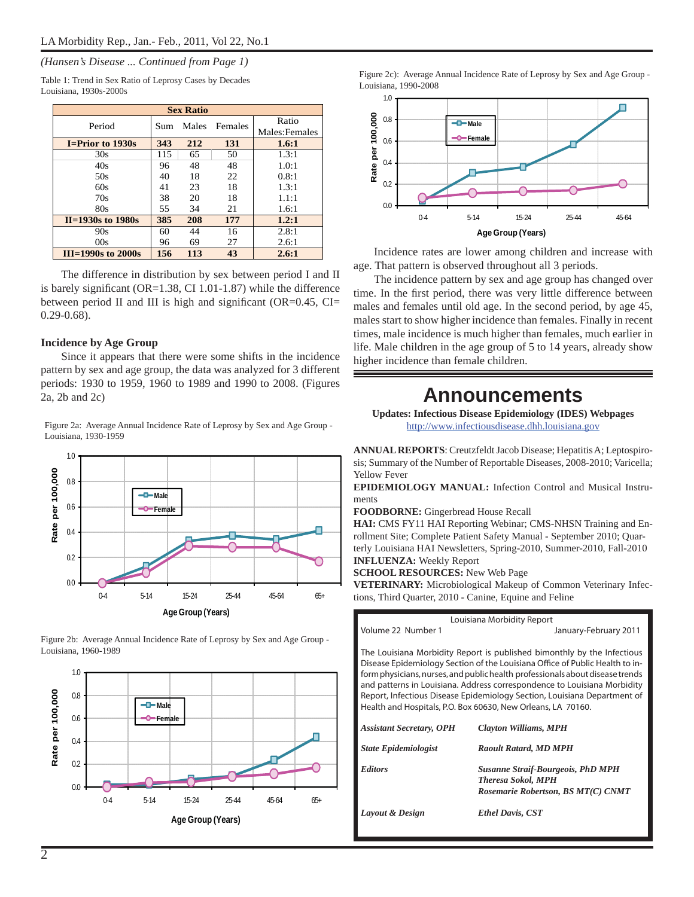#### *(Hansen's Disease ... Continued from Page 1)*

Table 1: Trend in Sex Ratio of Leprosy Cases by Decades Louisiana, 1930s-2000s

| <b>Sex Ratio</b>        |     |       |         |                         |  |  |
|-------------------------|-----|-------|---------|-------------------------|--|--|
| Period                  | Sum | Males | Females | Ratio<br>Males: Females |  |  |
| <b>I=Prior to 1930s</b> | 343 | 212   | 131     | 1.6:1                   |  |  |
| 30s                     | 115 | 65    | 50      | 1.3:1                   |  |  |
| 40s                     | 96  | 48    | 48      | 1.0:1                   |  |  |
| 50s                     | 40  | 18    | 22      | 0.8:1                   |  |  |
| 60s                     | 41  | 23    | 18      | 1.3:1                   |  |  |
| 70s                     | 38  | 20    | 18      | 1.1:1                   |  |  |
| 80s                     | 55  | 34    | 21      | 1.6:1                   |  |  |
| $II = 1930s$ to 1980s   | 385 | 208   | 177     | 1.2:1                   |  |  |
| 90s                     | 60  | 44    | 16      | 2.8:1                   |  |  |
| 00s                     | 96  | 69    | 27      | 2.6.1                   |  |  |
| $II=1990s$ to 2000s     | 156 | 113   | 43      | 2.6:1                   |  |  |

The difference in distribution by sex between period I and II is barely significant ( $OR=1.38$ , CI 1.01-1.87) while the difference between period II and III is high and significant (OR= $0.45$ , CI= 0.29-0.68).

#### **Incidence by Age Group**

Since it appears that there were some shifts in the incidence pattern by sex and age group, the data was analyzed for 3 different periods: 1930 to 1959, 1960 to 1989 and 1990 to 2008. (Figures 2a, 2b and 2c)

Figure 2a: Average Annual Incidence Rate of Leprosy by Sex and Age Group - Louisiana, 1930-1959



Figure 2b: Average Annual Incidence Rate of Leprosy by Sex and Age Group - Louisiana, 1960-1989



Figure 2c): Average Annual Incidence Rate of Leprosy by Sex and Age Group - Louisiana, 1990-2008



Incidence rates are lower among children and increase with age. That pattern is observed throughout all 3 periods.

The incidence pattern by sex and age group has changed over time. In the first period, there was very little difference between males and females until old age. In the second period, by age 45, males start to show higher incidence than females. Finally in recent times, male incidence is much higher than females, much earlier in life. Male children in the age group of 5 to 14 years, already show higher incidence than female children.

### **Announcements**

**Updates: Infectious Disease Epidemiology (IDES) Webpages** http://www.infectiousdisease.dhh.louisiana.gov

**ANNUAL REPORTS**: Creutzfeldt Jacob Disease; Hepatitis A; Leptospirosis; Summary of the Number of Reportable Diseases, 2008-2010; Varicella; Yellow Fever

**EPIDEMIOLOGY MANUAL:** Infection Control and Musical Instruments

**FOODBORNE:** Gingerbread House Recall

**HAI:** CMS FY11 HAI Reporting Webinar; CMS-NHSN Training and Enrollment Site; Complete Patient Safety Manual - September 2010; Quarterly Louisiana HAI Newsletters, Spring-2010, Summer-2010, Fall-2010 **INFLUENZA:** Weekly Report

**SCHOOL RESOURCES:** New Web Page

**VETERINARY:** Microbiological Makeup of Common Veterinary Infections, Third Quarter, 2010 - Canine, Equine and Feline

Louisiana Morbidity Report

Volume 22 Number 1 diamong 2011 diamong January-February 2011

The Louisiana Morbidity Report is published bimonthly by the Infectious Disease Epidemiology Section of the Louisiana Office of Public Health to inform physicians, nurses, and public health professionals about disease trends and patterns in Louisiana. Address correspondence to Louisiana Morbidity Report, Infectious Disease Epidemiology Section, Louisiana Department of Health and Hospitals, P.O. Box 60630, New Orleans, LA 70160.

| <b>Assistant Secretary, OPH</b> | <b>Clayton Williams, MPH</b>                                                                                |
|---------------------------------|-------------------------------------------------------------------------------------------------------------|
| <b>State Epidemiologist</b>     | <b>Raoult Ratard, MD MPH</b>                                                                                |
| <b>Editors</b>                  | <b>Susanne Straif-Bourgeois, PhD MPH</b><br><b>Theresa Sokol, MPH</b><br>Rosemarie Robertson, BS MT(C) CNMT |
| Layout & Design                 | <b>Ethel Davis, CST</b>                                                                                     |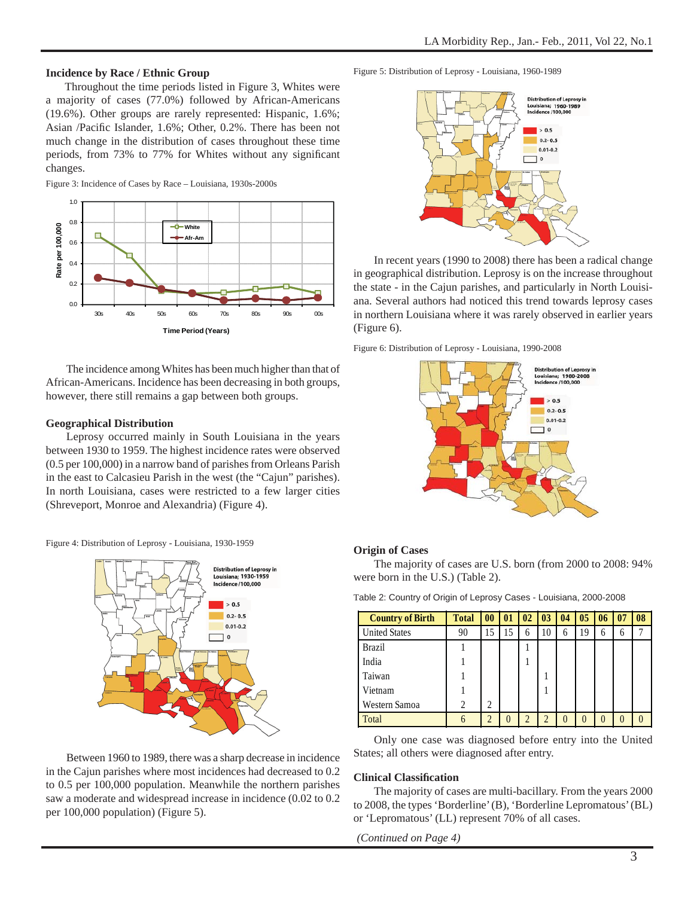#### **Incidence by Race / Ethnic Group**

 Throughout the time periods listed in Figure 3, Whites were a majority of cases (77.0%) followed by African-Americans (19.6%). Other groups are rarely represented: Hispanic, 1.6%; Asian /Pacific Islander, 1.6%; Other, 0.2%. There has been not much change in the distribution of cases throughout these time periods, from 73% to 77% for Whites without any significant changes.

Figure 3: Incidence of Cases by Race – Louisiana, 1930s-2000s



The incidence among Whites has been much higher than that of African-Americans. Incidence has been decreasing in both groups, however, there still remains a gap between both groups.

#### **Geographical Distribution**

Leprosy occurred mainly in South Louisiana in the years between 1930 to 1959. The highest incidence rates were observed (0.5 per 100,000) in a narrow band of parishes from Orleans Parish in the east to Calcasieu Parish in the west (the "Cajun" parishes). In north Louisiana, cases were restricted to a few larger cities (Shreveport, Monroe and Alexandria) (Figure 4).

Figure 4: Distribution of Leprosy - Louisiana, 1930-1959



Between 1960 to 1989, there was a sharp decrease in incidence in the Cajun parishes where most incidences had decreased to 0.2 to 0.5 per 100,000 population. Meanwhile the northern parishes saw a moderate and widespread increase in incidence (0.02 to 0.2 per 100,000 population) (Figure 5).

Figure 5: Distribution of Leprosy - Louisiana, 1960-1989



In recent years (1990 to 2008) there has been a radical change in geographical distribution. Leprosy is on the increase throughout the state - in the Cajun parishes, and particularly in North Louisiana. Several authors had noticed this trend towards leprosy cases in northern Louisiana where it was rarely observed in earlier years (Figure 6).

Figure 6: Distribution of Leprosy - Louisiana, 1990-2008



#### **Origin of Cases**

The majority of cases are U.S. born (from 2000 to 2008: 94% were born in the U.S.) (Table 2).

| Table 2: Country of Origin of Leprosy Cases - Louisiana, 2000-2008 |  |
|--------------------------------------------------------------------|--|
|--------------------------------------------------------------------|--|

| <b>Country of Birth</b> | <b>Total</b> | $\bf{00}$      | 01       | 02 | 03             | 04           | 0 <sub>5</sub> | 06       | 07 | 08 |
|-------------------------|--------------|----------------|----------|----|----------------|--------------|----------------|----------|----|----|
| <b>United States</b>    | 90           | 15             | 15       | 6  | 10             | 6            | 19             | 6        | 6  |    |
| <b>Brazil</b>           |              |                |          |    |                |              |                |          |    |    |
| India                   |              |                |          |    |                |              |                |          |    |    |
| Taiwan                  |              |                |          |    |                |              |                |          |    |    |
| Vietnam                 |              |                |          |    |                |              |                |          |    |    |
| Western Samoa           | ↑            | 2              |          |    |                |              |                |          |    |    |
| Total                   | h            | $\overline{2}$ | $\Omega$ | ി  | $\overline{2}$ | $\mathbf{0}$ | $\Omega$       | $\left($ |    |    |

Only one case was diagnosed before entry into the United States; all others were diagnosed after entry.

#### **Clinical Classifi cation**

The majority of cases are multi-bacillary. From the years 2000 to 2008, the types 'Borderline' (B), 'Borderline Lepromatous' (BL) or 'Lepromatous' (LL) represent 70% of all cases.

*(Continued on Page 4)*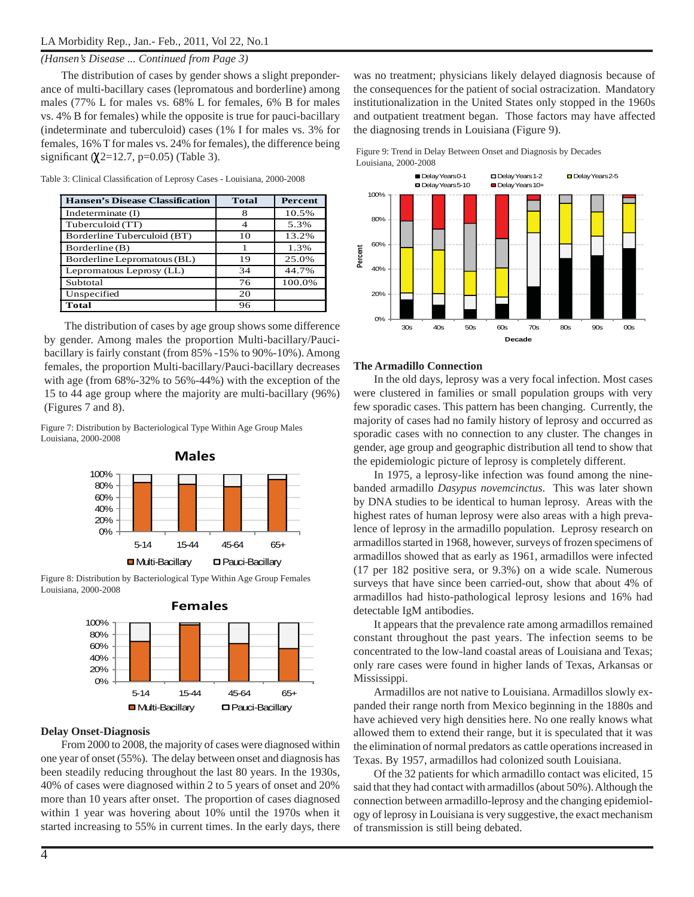#### *(Hansen's Disease ... Continued from Page 3)*

The distribution of cases by gender shows a slight preponderance of multi-bacillary cases (lepromatous and borderline) among males (77% L for males vs. 68% L for females, 6% B for males vs. 4% B for females) while the opposite is true for pauci-bacillary (indeterminate and tuberculoid) cases (1% I for males vs. 3% for females, 16% T for males vs. 24% for females), the difference being significant  $(\chi2=12.7, p=0.05)$  (Table 3).

| <b>Hansen's Disease Classification</b> | <b>Total</b> | Percent |
|----------------------------------------|--------------|---------|
| Indeterminate $(I)$                    | 8            | 10.5%   |
| Tuberculoid (TT)                       |              | 5.3%    |
| Borderline Tuberculoid (BT)            | 10           | 13.2%   |
| Borderline (B)                         |              | 1.3%    |
| Borderline Lepromatous (BL)            | 19           | 25.0%   |
| Lepromatous Leprosy (LL)               | 34           | 44.7%   |
| Subtotal                               | 76           | 100.0%  |
| Unspecified                            | 20           |         |
| Total                                  | 96           |         |

Table 3: Clinical Classification of Leprosy Cases - Louisiana, 2000-2008

The distribution of cases by age group shows some difference by gender. Among males the proportion Multi-bacillary/Paucibacillary is fairly constant (from 85% -15% to 90%-10%). Among females, the proportion Multi-bacillary/Pauci-bacillary decreases with age (from 68%-32% to 56%-44%) with the exception of the 15 to 44 age group where the majority are multi-bacillary (96%) (Figures 7 and 8).

Figure 7: Distribution by Bacteriological Type Within Age Group Males Louisiana, 2000-2008



Figure 8: Distribution by Bacteriological Type Within Age Group Females Louisiana, 2000-2008



#### **Delay Onset-Diagnosis**

From 2000 to 2008, the majority of cases were diagnosed within one year of onset (55%). The delay between onset and diagnosis has been steadily reducing throughout the last 80 years. In the 1930s, 40% of cases were diagnosed within 2 to 5 years of onset and 20% more than 10 years after onset. The proportion of cases diagnosed within 1 year was hovering about 10% until the 1970s when it started increasing to 55% in current times. In the early days, there was no treatment; physicians likely delayed diagnosis because of the consequences for the patient of social ostracization. Mandatory institutionalization in the United States only stopped in the 1960s and outpatient treatment began. Those factors may have affected the diagnosing trends in Louisiana (Figure 9).





#### **The Armadillo Connection**

In the old days, leprosy was a very focal infection. Most cases were clustered in families or small population groups with very few sporadic cases. This pattern has been changing. Currently, the majority of cases had no family history of leprosy and occurred as sporadic cases with no connection to any cluster. The changes in gender, age group and geographic distribution all tend to show that the epidemiologic picture of leprosy is completely different.

In 1975, a leprosy-like infection was found among the ninebanded armadillo *Dasypus novemcinctus*. This was later shown by DNA studies to be identical to human leprosy. Areas with the highest rates of human leprosy were also areas with a high prevalence of leprosy in the armadillo population. Leprosy research on armadillos started in 1968, however, surveys of frozen specimens of armadillos showed that as early as 1961, armadillos were infected (17 per 182 positive sera, or 9.3%) on a wide scale. Numerous surveys that have since been carried-out, show that about 4% of armadillos had histo-pathological leprosy lesions and 16% had detectable IgM antibodies.

It appears that the prevalence rate among armadillos remained constant throughout the past years. The infection seems to be concentrated to the low-land coastal areas of Louisiana and Texas; only rare cases were found in higher lands of Texas, Arkansas or Mississippi.

Armadillos are not native to Louisiana. Armadillos slowly expanded their range north from Mexico beginning in the 1880s and have achieved very high densities here. No one really knows what allowed them to extend their range, but it is speculated that it was the elimination of normal predators as cattle operations increased in Texas. By 1957, armadillos had colonized south Louisiana.

Of the 32 patients for which armadillo contact was elicited, 15 said that they had contact with armadillos (about 50%). Although the connection between armadillo-leprosy and the changing epidemiology of leprosy in Louisiana is very suggestive, the exact mechanism of transmission is still being debated.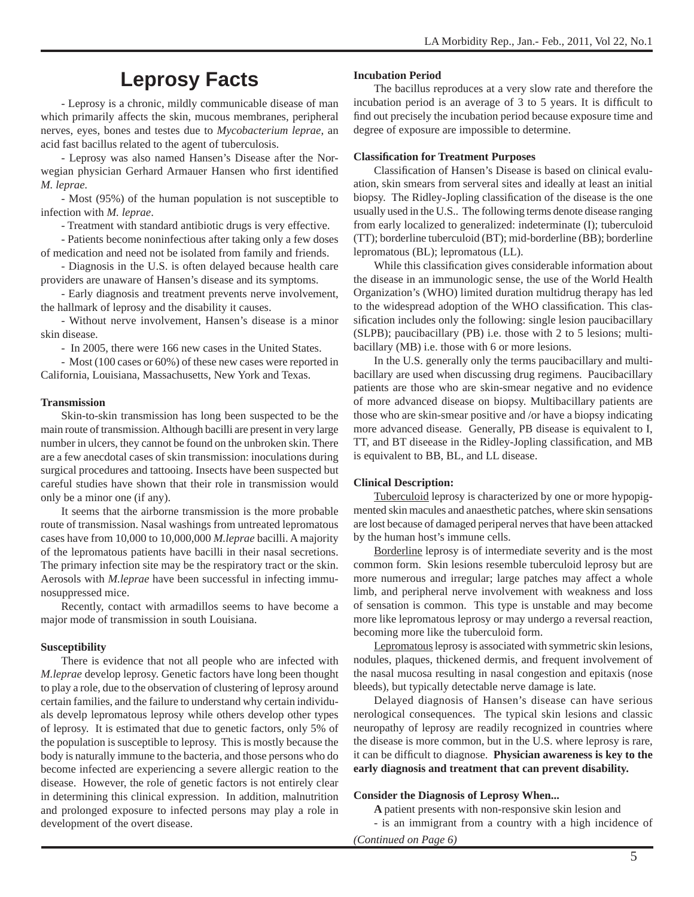### **Leprosy Facts**

- Leprosy is a chronic, mildly communicable disease of man which primarily affects the skin, mucous membranes, peripheral nerves, eyes, bones and testes due to *Mycobacterium leprae*, an acid fast bacillus related to the agent of tuberculosis.

- Leprosy was also named Hansen's Disease after the Norwegian physician Gerhard Armauer Hansen who first identified *M. leprae.*

- Most (95%) of the human population is not susceptible to infection with *M. leprae*.

- Treatment with standard antibiotic drugs is very effective.

- Patients become noninfectious after taking only a few doses of medication and need not be isolated from family and friends.

- Diagnosis in the U.S. is often delayed because health care providers are unaware of Hansen's disease and its symptoms.

- Early diagnosis and treatment prevents nerve involvement, the hallmark of leprosy and the disability it causes.

- Without nerve involvement, Hansen's disease is a minor skin disease.

- In 2005, there were 166 new cases in the United States.

- Most (100 cases or 60%) of these new cases were reported in California, Louisiana, Massachusetts, New York and Texas.

#### **Transmission**

Skin-to-skin transmission has long been suspected to be the main route of transmission. Although bacilli are present in very large number in ulcers, they cannot be found on the unbroken skin. There are a few anecdotal cases of skin transmission: inoculations during surgical procedures and tattooing. Insects have been suspected but careful studies have shown that their role in transmission would only be a minor one (if any).

It seems that the airborne transmission is the more probable route of transmission. Nasal washings from untreated lepromatous cases have from 10,000 to 10,000,000 *M.leprae* bacilli. A majority of the lepromatous patients have bacilli in their nasal secretions. The primary infection site may be the respiratory tract or the skin. Aerosols with *M.leprae* have been successful in infecting immunosuppressed mice.

Recently, contact with armadillos seems to have become a major mode of transmission in south Louisiana.

#### **Susceptibility**

There is evidence that not all people who are infected with *M.leprae* develop leprosy. Genetic factors have long been thought to play a role, due to the observation of clustering of leprosy around certain families, and the failure to understand why certain individuals develp lepromatous leprosy while others develop other types of leprosy. It is estimated that due to genetic factors, only 5% of the population is susceptible to leprosy. This is mostly because the body is naturally immune to the bacteria, and those persons who do become infected are experiencing a severe allergic reation to the disease. However, the role of genetic factors is not entirely clear in determining this clinical expression. In addition, malnutrition and prolonged exposure to infected persons may play a role in development of the overt disease.

#### **Incubation Period**

The bacillus reproduces at a very slow rate and therefore the incubation period is an average of  $3$  to  $5$  years. It is difficult to find out precisely the incubation period because exposure time and degree of exposure are impossible to determine.

#### **Classifi cation for Treatment Purposes**

Classification of Hansen's Disease is based on clinical evaluation, skin smears from serveral sites and ideally at least an initial biopsy. The Ridley-Jopling classification of the disease is the one usually used in the U.S.. The following terms denote disease ranging from early localized to generalized: indeterminate (I); tuberculoid (TT); borderline tuberculoid (BT); mid-borderline (BB); borderline lepromatous (BL); lepromatous (LL).

While this classification gives considerable information about the disease in an immunologic sense, the use of the World Health Organization's (WHO) limited duration multidrug therapy has led to the widespread adoption of the WHO classification. This classification includes only the following: single lesion paucibacillary (SLPB); paucibacillary (PB) i.e. those with 2 to 5 lesions; multibacillary (MB) i.e. those with 6 or more lesions.

In the U.S. generally only the terms paucibacillary and multibacillary are used when discussing drug regimens. Paucibacillary patients are those who are skin-smear negative and no evidence of more advanced disease on biopsy. Multibacillary patients are those who are skin-smear positive and /or have a biopsy indicating more advanced disease. Generally, PB disease is equivalent to I, TT, and BT diseease in the Ridley-Jopling classification, and MB is equivalent to BB, BL, and LL disease.

#### **Clinical Description:**

Tuberculoid leprosy is characterized by one or more hypopigmented skin macules and anaesthetic patches, where skin sensations are lost because of damaged periperal nerves that have been attacked by the human host's immune cells.

Borderline leprosy is of intermediate severity and is the most common form. Skin lesions resemble tuberculoid leprosy but are more numerous and irregular; large patches may affect a whole limb, and peripheral nerve involvement with weakness and loss of sensation is common. This type is unstable and may become more like lepromatous leprosy or may undergo a reversal reaction, becoming more like the tuberculoid form.

Lepromatous leprosy is associated with symmetric skin lesions, nodules, plaques, thickened dermis, and frequent involvement of the nasal mucosa resulting in nasal congestion and epitaxis (nose bleeds), but typically detectable nerve damage is late.

Delayed diagnosis of Hansen's disease can have serious nerological consequences. The typical skin lesions and classic neuropathy of leprosy are readily recognized in countries where the disease is more common, but in the U.S. where leprosy is rare, it can be difficult to diagnose. **Physician awareness is key to the early diagnosis and treatment that can prevent disability.**

#### **Consider the Diagnosis of Leprosy When...**

**A** patient presents with non-responsive skin lesion and

- is an immigrant from a country with a high incidence of

*(Continued on Page 6)*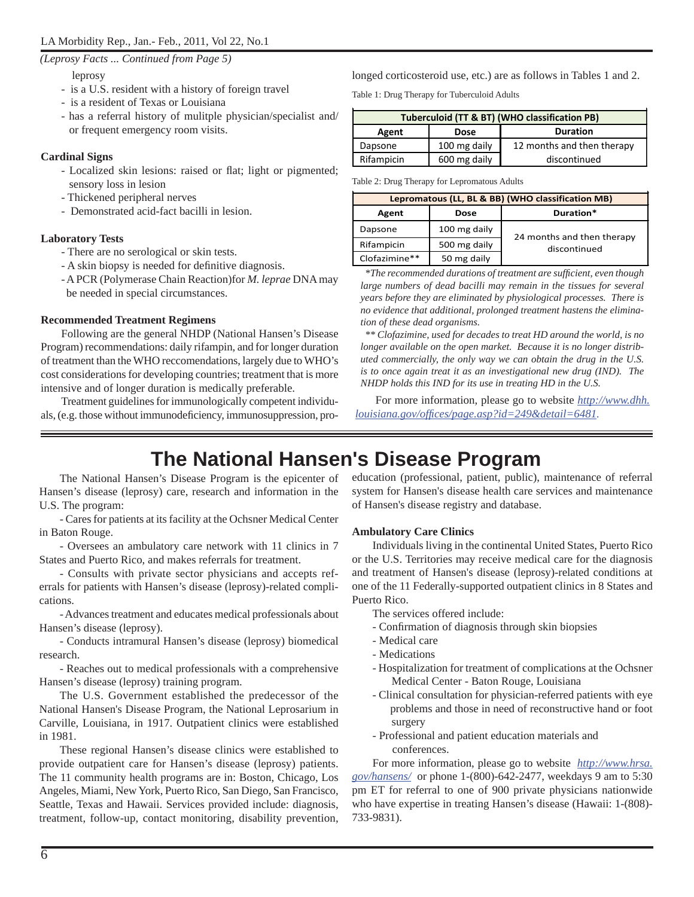*(Leprosy Facts ... Continued from Page 5)*

leprosy

- is a U.S. resident with a history of foreign travel
- is a resident of Texas or Louisiana
- has a referral history of mulitple physician/specialist and/ or frequent emergency room visits.

### **Cardinal Signs**

- Localized skin lesions: raised or flat; light or pigmented; sensory loss in lesion
- Thickened peripheral nerves
- Demonstrated acid-fact bacilli in lesion.

### **Laboratory Tests**

- There are no serological or skin tests.
- A skin biopsy is needed for definitive diagnosis.
- A PCR (Polymerase Chain Reaction)for *M. leprae* DNA may be needed in special circumstances.

### **Recommended Treatment Regimens**

Following are the general NHDP (National Hansen's Disease Program) recommendations: daily rifampin, and for longer duration of treatment than the WHO reccomendations, largely due to WHO's cost considerations for developing countries; treatment that is more intensive and of longer duration is medically preferable.

Treatment guidelines for immunologically competent individuals, (e.g. those without immunodeficiency, immunosuppression, prolonged corticosteroid use, etc.) are as follows in Tables 1 and 2.

Table 1: Drug Therapy for Tuberculoid Adults

| Tuberculoid (TT & BT) (WHO classification PB) |              |                            |  |
|-----------------------------------------------|--------------|----------------------------|--|
| Agent                                         | <b>Dose</b>  | <b>Duration</b>            |  |
| Dapsone                                       | 100 mg daily | 12 months and then therapy |  |
| Rifampicin                                    | 600 mg daily | discontinued               |  |

Table 2: Drug Therapy for Lepromatous Adults

| Lepromatous (LL, BL & BB) (WHO classification MB) |              |                            |  |  |
|---------------------------------------------------|--------------|----------------------------|--|--|
| Agent                                             | <b>Dose</b>  | Duration*                  |  |  |
| Dapsone                                           | 100 mg daily | 24 months and then therapy |  |  |
| Rifampicin                                        | 500 mg daily | discontinued               |  |  |
| Clofazimine**                                     | 50 mg daily  |                            |  |  |

 *\*The recommended durations of treatment are suffi cient, even though*  large numbers of dead bacilli may remain in the tissues for several *years before they are eliminated by physiological processes. There is no evidence that additional, prolonged treatment hastens the elimination of these dead organisms.*

 *\*\* Clofazimine, used for decades to treat HD around the world, is no longer available on the open market. Because it is no longer distributed commercially, the only way we can obtain the drug in the U.S. is to once again treat it as an investigational new drug (IND). The NHDP holds this IND for its use in treating HD in the U.S.*

 For more information, please go to website *http://www.dhh. louisiana.gov/offi ces/page.asp?id=249&detail=6481.*

### **The National Hansen's Disease Program**

The National Hansen's Disease Program is the epicenter of Hansen's disease (leprosy) care, research and information in the U.S. The program:

- Cares for patients at its facility at the Ochsner Medical Center in Baton Rouge.

- Oversees an ambulatory care network with 11 clinics in 7 States and Puerto Rico, and makes referrals for treatment.

- Consults with private sector physicians and accepts referrals for patients with Hansen's disease (leprosy)-related complications.

- Advances treatment and educates medical professionals about Hansen's disease (leprosy).

- Conducts intramural Hansen's disease (leprosy) biomedical research.

- Reaches out to medical professionals with a comprehensive Hansen's disease (leprosy) training program.

The U.S. Government established the predecessor of the National Hansen's Disease Program, the National Leprosarium in Carville, Louisiana, in 1917. Outpatient clinics were established in 1981.

These regional Hansen's disease clinics were established to provide outpatient care for Hansen's disease (leprosy) patients. The 11 community health programs are in: Boston, Chicago, Los Angeles, Miami, New York, Puerto Rico, San Diego, San Francisco, Seattle, Texas and Hawaii. Services provided include: diagnosis, treatment, follow-up, contact monitoring, disability prevention,

education (professional, patient, public), maintenance of referral system for Hansen's disease health care services and maintenance of Hansen's disease registry and database.

### **Ambulatory Care Clinics**

Individuals living in the continental United States, Puerto Rico or the U.S. Territories may receive medical care for the diagnosis and treatment of Hansen's disease (leprosy)-related conditions at one of the 11 Federally-supported outpatient clinics in 8 States and Puerto Rico.

- The services offered include:
- Confirmation of diagnosis through skin biopsies
- Medical care
- Medications
- Hospitalization for treatment of complications at the Ochsner Medical Center - Baton Rouge, Louisiana
- Clinical consultation for physician-referred patients with eye problems and those in need of reconstructive hand or foot surgery
- Professional and patient education materials and conferences.

For more information, please go to website *http://www.hrsa. gov/hansens/* or phone 1-(800)-642-2477, weekdays 9 am to 5:30 pm ET for referral to one of 900 private physicians nationwide who have expertise in treating Hansen's disease (Hawaii: 1-(808)- 733-9831).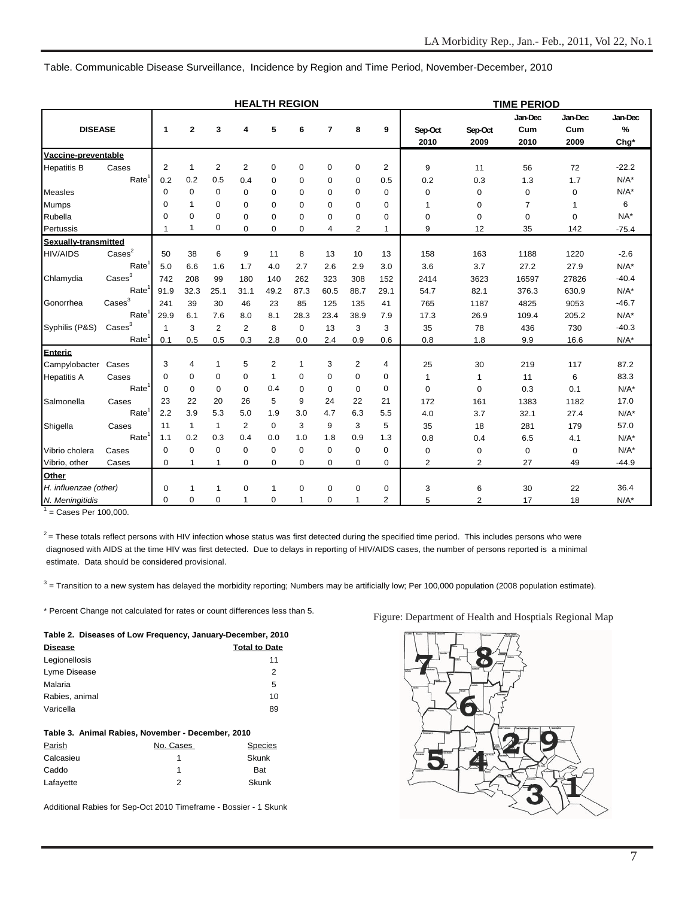**TIME PERIOD Jan-Dec Jan-Dec Jan-Dec DISEASE 1 2 3 4 5 6 7 8 9 Sep-Oct Sep-Oct Cum Cum % 2010 2009 2010 2009 Chg\* Vaccine-preventable** Hepatitis B Cases 212 2 0 0 0 0 2 9 11 56 72 -22.2 Rate1 0.2 0.2 0.5 0.4 0 0 0 0 0.5 0.2 0.3 1.3 1.7 N/A\* Measles 000 0000 0 00 0 0 0 N/A\* Mumps 010 000000 1 0 7 1 6 Rubella 000 000000 0 0 0 0 NA\* Pertussis 1 1 0 0 0 0 4 2 1 9 12 35 142 -75.4 **Sexually-transmitted** HIV/AIDS Cases<sup>2</sup> 50 38 6 9 11 8 13 10 13 158 163 1188 1220 -2.6 Rate1 5.0 6.6 1.6 1.7 4.0 2.7 2.6 2.9 3.0 3.6 3.7 27.2 27.9 N/A\* Chlamydia Cases<sup>3</sup> 742 208 99 180 140 262 323 308 152 2414 3623 16597 27826 -40.4 Rate1 91.9 32.3 25.1 31.1 49.2 87.3 60.5 88.7 29.1 54.7 82.1 376.3 630.9 N/A\* Gonorrhea Cases<sup>3</sup> 241 39 30 46 23 85 125 135 41 765 1187 4825 9053 -46.7 Rate1 29.9 6.1 7.6 8.0 8.1 28.3 23.4 38.9 7.9 17.3 26.9 109.4 205.2 N/A\* Syphilis (P&S) Cases<sup>3</sup> 1 3 2 2 8 0 13 3 3 35 78 436 730 -40.3 Rate1 0.1 0.5 0.5 0.3 2.8 0.0 2.4 0.9 0.6 0.8 1.8 9.9 16.6 N/A\* **Enteric** Campylobacter Cases 341 5 2 1 3 2 4 25 30 219 117 87.2 Hepatitis A Cases 000 0 1 0 0 0 0 1 1 11 6 83.3 Rate<sup>1</sup> 0 0 0 0 0.4 0 0 0 0 0 0 0 0 0 0.3 0.1 N/A\* Salmonella Cases 23 22 20 26 5 9 24 22 21 172 161 1383 1182 17.0 Rate<sup>1</sup> 2.2 3.9 5.3 5.0 1.9 3.0 4.7 6.3 5.5 4.0 3.7 32.1 27.4 N/A\* Shigella Cases | 11 1 1 2 0 3 9 3 5 | 35 18 281 179 57.0 Rate1 1.1 0.2 0.3 0.4 0.0 1.0 1.8 0.9 1.3 0.8 0.4 6.5 4.1 N/A\* Vibrio cholera Cases 000 0 0 0 0 0 0 0 000 N/A\* Vibrio, other Cases 0 1 1 0 0 0 0 0 0 2 2 27 49 -44.9 **Other** *H. influenzae (other)* 0 1 1 0 1 0 0 0 0 0 3 6 30 22 36.4 **HEALTH REGION**

Table. Communicable Disease Surveillance, Incidence by Region and Time Period, November-December, 2010

1 = Cases Per 100,000.

 $2$  = These totals reflect persons with HIV infection whose status was first detected during the specified time period. This includes persons who were diagnosed with AIDS at the time HIV was first detected. Due to delays in reporting of HIV/AIDS cases, the number of persons reported is a minimal estimate. Data should be considered provisional.

*N. Meningitidis* 000 1 0 1 0 1 2 5 2 17 18 N/A\*

 $^3$  = Transition to a new system has delayed the morbidity reporting; Numbers may be artificially low; Per 100,000 population (2008 population estimate).

\* Percent Change not calculated for rates or count differences less than 5.

| Table 2. Diseases of Low Frequency, January-December, 2010 |                      |  |  |  |
|------------------------------------------------------------|----------------------|--|--|--|
| <b>Disease</b>                                             | <b>Total to Date</b> |  |  |  |
| Legionellosis                                              | 11                   |  |  |  |
| Lyme Disease                                               | 2                    |  |  |  |
| Malaria                                                    | 5                    |  |  |  |
| Rabies, animal                                             | 10                   |  |  |  |
| Varicella                                                  | 89                   |  |  |  |

#### **Table 3. Animal Rabies, November - December, 2010**

| Parish    | No. Cases | <b>Species</b> |
|-----------|-----------|----------------|
| Calcasieu |           | Skunk          |
| Caddo     |           | Bat            |
| Lafayette |           | Skunk          |

Additional Rabies for Sep-Oct 2010 Timeframe - Bossier - 1 Skunk

#### Figure: Department of Health and Hosptials Regional Map